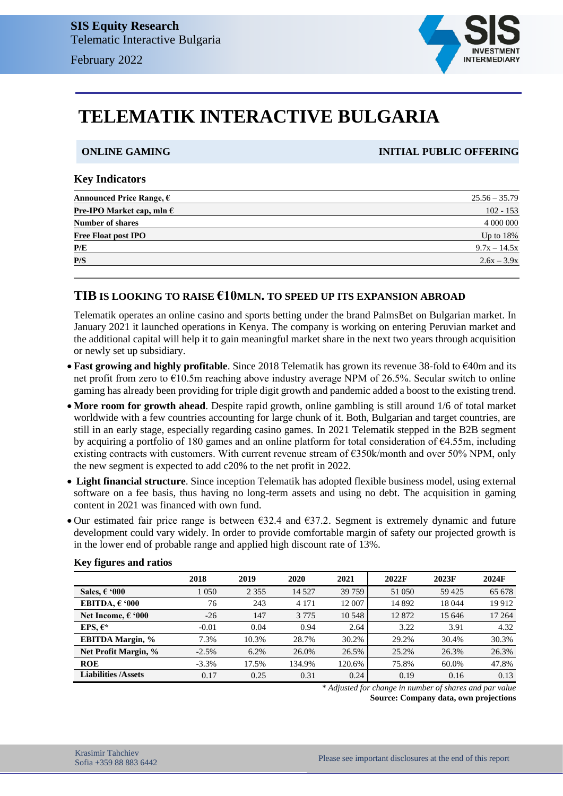

# **TELEMATIK INTERACTIVE BULGARIA**

**ONLINE GAMING INITIAL PUBLIC OFFERING**

#### **Key Indicators**

| Announced Price Range, $\epsilon$                    | $25.56 - 35.79$ |
|------------------------------------------------------|-----------------|
| <b>Pre-IPO Market cap, mln <math>\epsilon</math></b> | $102 - 153$     |
| <b>Number of shares</b>                              | 4 000 000       |
| <b>Free Float post IPO</b>                           | Up to $18\%$    |
| P/E                                                  | $9.7x - 14.5x$  |
| P/S                                                  | $2.6x - 3.9x$   |
|                                                      |                 |

### **TIB IS LOOKING TO RAISE €10MLN. TO SPEED UP ITS EXPANSION ABROAD**

Telematik operates an online casino and sports betting under the brand PalmsBet on Bulgarian market. In January 2021 it launched operations in Kenya. The company is working on entering Peruvian market and the additional capital will help it to gain meaningful market share in the next two years through acquisition or newly set up subsidiary.

- **Fast growing and highly profitable**. Since 2018 Telematik has grown its revenue 38-fold to €40m and its net profit from zero to €10.5m reaching above industry average NPM of 26.5%. Secular switch to online gaming has already been providing for triple digit growth and pandemic added a boost to the existing trend.
- **More room for growth ahead**. Despite rapid growth, online gambling is still around 1/6 of total market worldwide with a few countries accounting for large chunk of it. Both, Bulgarian and target countries, are still in an early stage, especially regarding casino games. In 2021 Telematik stepped in the B2B segment by acquiring a portfolio of 180 games and an online platform for total consideration of  $64.55m$ , including existing contracts with customers. With current revenue stream of €350k/month and over 50% NPM, only the new segment is expected to add c20% to the net profit in 2022.
- **Light financial structure**. Since inception Telematik has adopted flexible business model, using external software on a fee basis, thus having no long-term assets and using no debt. The acquisition in gaming content in 2021 was financed with own fund.
- Our estimated fair price range is between  $632.4$  and  $637.2$ . Segment is extremely dynamic and future development could vary widely. In order to provide comfortable margin of safety our projected growth is in the lower end of probable range and applied high discount rate of 13%.

|                            | 2018     | 2019    | 2020    | 2021   | 2022F    | 2023F  | 2024F   |
|----------------------------|----------|---------|---------|--------|----------|--------|---------|
| Sales, $\epsilon$ '000     | 1 0 5 0  | 2 3 5 5 | 14 5 27 | 39 759 | 51 050   | 59425  | 65 678  |
| EBITDA. $\epsilon$ '000    | 76       | 243     | 4 1 7 1 | 12 007 | 14 8 9 2 | 18044  | 19 9 12 |
| Net Income, $6.000$        | $-26$    | 147     | 3 7 7 5 | 10 548 | 12872    | 15 646 | 17 264  |
| EPS. $\epsilon^*$          | $-0.01$  | 0.04    | 0.94    | 2.64   | 3.22     | 3.91   | 4.32    |
| <b>EBITDA Margin, %</b>    | 7.3%     | 10.3%   | 28.7%   | 30.2%  | 29.2%    | 30.4%  | 30.3%   |
| Net Profit Margin, %       | $-2.5%$  | 6.2%    | 26.0%   | 26.5%  | 25.2%    | 26.3%  | 26.3%   |
| <b>ROE</b>                 | $-3.3\%$ | 17.5%   | 134.9%  | 120.6% | 75.8%    | 60.0%  | 47.8%   |
| <b>Liabilities /Assets</b> | 0.17     | 0.25    | 0.31    | 0.24   | 0.19     | 0.16   | 0.13    |

#### **Key figures and ratios**

*\* Adjusted for change in number of shares and par value* **Source: Company data, own projections**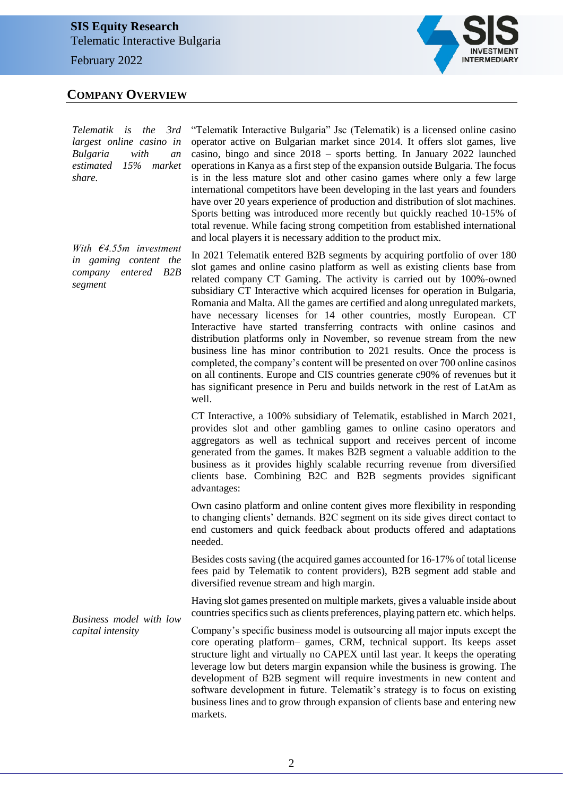February 2022

### **COMPANY OVERVIEW**

*Telematik is the 3rd largest online casino in Bulgaria with an estimated 15% market share.*

*With €4.55m investment in gaming content the company entered B2B segment*

*Business model with low* 

"Telematik Interactive Bulgaria" Jsc (Telematik) is a licensed online casino operator active on Bulgarian market since 2014. It offers slot games, live casino, bingo and since 2018 – sports betting. In January 2022 launched operations in Kanya as a first step of the expansion outside Bulgaria. The focus is in the less mature slot and other casino games where only a few large international competitors have been developing in the last years and founders have over 20 years experience of production and distribution of slot machines. Sports betting was introduced more recently but quickly reached 10-15% of total revenue. While facing strong competition from established international and local players it is necessary addition to the product mix.

In 2021 Telematik entered B2B segments by acquiring portfolio of over 180 slot games and online casino platform as well as existing clients base from related company CT Gaming. The activity is carried out by 100%-owned subsidiary CT Interactive which acquired licenses for operation in Bulgaria, Romania and Malta. All the games are certified and along unregulated markets, have necessary licenses for 14 other countries, mostly European. CT Interactive have started transferring contracts with online casinos and distribution platforms only in November, so revenue stream from the new business line has minor contribution to 2021 results. Once the process is completed, the company's content will be presented on over 700 online casinos on all continents. Europe and CIS countries generate c90% of revenues but it has significant presence in Peru and builds network in the rest of LatAm as well.

CT Interactive, a 100% subsidiary of Telematik, established in March 2021, provides slot and other gambling games to online casino operators and aggregators as well as technical support and receives percent of income generated from the games. It makes B2B segment a valuable addition to the business as it provides highly scalable recurring revenue from diversified clients base. Combining B2C and B2B segments provides significant advantages:

- Own casino platform and online content gives more flexibility in responding to changing clients' demands. B2C segment on its side gives direct contact to end customers and quick feedback about products offered and adaptations needed.

Besides costs saving (the acquired games accounted for 16-17% of total license fees paid by Telematik to content providers), B2B segment add stable and diversified revenue stream and high margin.

- Having slot games presented on multiple markets, gives a valuable inside about countries specifics such as clients preferences, playing pattern etc. which helps.

*capital intensity* Company's specific business model is outsourcing all major inputs except the core operating platform– games, CRM, technical support. Its keeps asset structure light and virtually no CAPEX until last year. It keeps the operating leverage low but deters margin expansion while the business is growing. The development of B2B segment will require investments in new content and software development in future. Telematik's strategy is to focus on existing business lines and to grow through expansion of clients base and entering new markets.

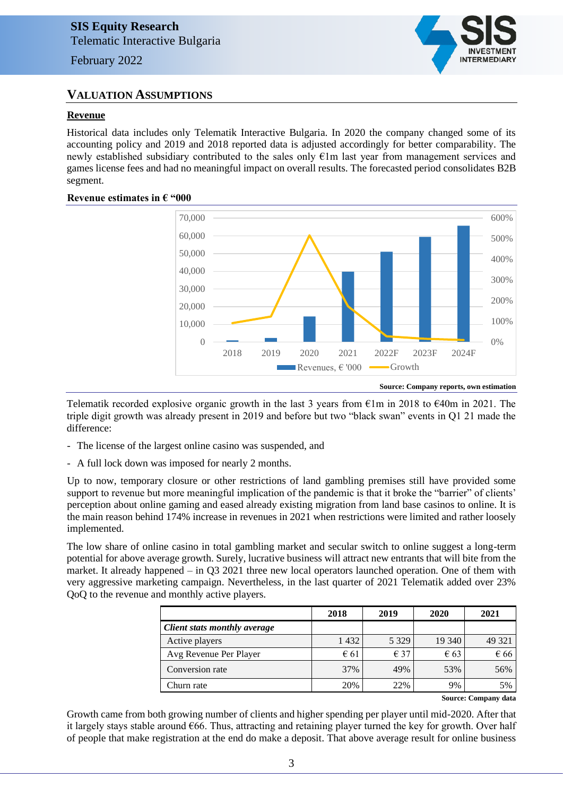### **VALUATION ASSUMPTIONS**

#### **Revenue**

Historical data includes only Telematik Interactive Bulgaria. In 2020 the company changed some of its accounting policy and 2019 and 2018 reported data is adjusted accordingly for better comparability. The newly established subsidiary contributed to the sales only €1m last year from management services and games license fees and had no meaningful impact on overall results. The forecasted period consolidates B2B segment.



#### **Revenue estimates in € "000**

Telematik recorded explosive organic growth in the last 3 years from  $\epsilon$ 1m in 2018 to  $\epsilon$ 40m in 2021. The triple digit growth was already present in 2019 and before but two "black swan" events in Q1 21 made the difference:

- The license of the largest online casino was suspended, and
- A full lock down was imposed for nearly 2 months.

Up to now, temporary closure or other restrictions of land gambling premises still have provided some support to revenue but more meaningful implication of the pandemic is that it broke the "barrier" of clients' perception about online gaming and eased already existing migration from land base casinos to online. It is the main reason behind 174% increase in revenues in 2021 when restrictions were limited and rather loosely implemented.

The low share of online casino in total gambling market and secular switch to online suggest a long-term potential for above average growth. Surely, lucrative business will attract new entrants that will bite from the market. It already happened – in Q3 2021 three new local operators launched operation. One of them with very aggressive marketing campaign. Nevertheless, in the last quarter of 2021 Telematik added over 23% QoQ to the revenue and monthly active players.

|                                     | 2018          | 2019          | 2020          | 2021   |
|-------------------------------------|---------------|---------------|---------------|--------|
| <b>Client stats monthly average</b> |               |               |               |        |
| Active players                      | 1432          | 5 3 2 9       | 19 340        | 49 321 |
| Avg Revenue Per Player              | $\epsilon$ 61 | $\epsilon$ 37 | $\epsilon$ 63 | € 66   |
| Conversion rate                     | 37%           | 49%           | 53%           | 56%    |
| Churn rate                          | 20%           | 22%           | 9%            | 5%     |

**Source: Company data**

**INTERMEDIARY** 

Growth came from both growing number of clients and higher spending per player until mid-2020. After that it largely stays stable around  $666$ . Thus, attracting and retaining player turned the key for growth. Over half of people that make registration at the end do make a deposit. That above average result for online business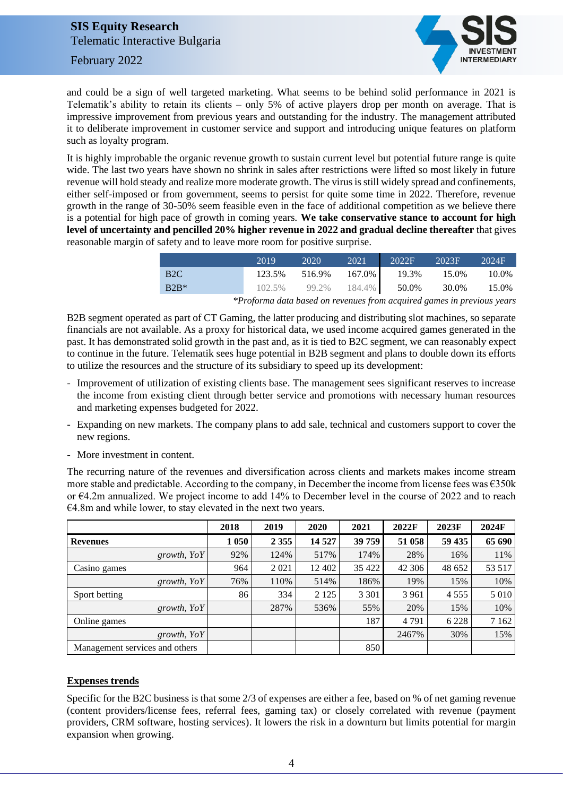February 2022



and could be a sign of well targeted marketing. What seems to be behind solid performance in 2021 is Telematik's ability to retain its clients – only 5% of active players drop per month on average. That is impressive improvement from previous years and outstanding for the industry. The management attributed it to deliberate improvement in customer service and support and introducing unique features on platform such as loyalty program.

It is highly improbable the organic revenue growth to sustain current level but potential future range is quite wide. The last two years have shown no shrink in sales after restrictions were lifted so most likely in future revenue will hold steady and realize more moderate growth. The virus is still widely spread and confinements, either self-imposed or from government, seems to persist for quite some time in 2022. Therefore, revenue growth in the range of 30-50% seem feasible even in the face of additional competition as we believe there is a potential for high pace of growth in coming years. **We take conservative stance to account for high level of uncertainty and pencilled 20% higher revenue in 2022 and gradual decline thereafter** that gives reasonable margin of safety and to leave more room for positive surprise.

|                  | 2019                                                                               | 2020 | 2021 2022F 2023F 2024F                |       |
|------------------|------------------------------------------------------------------------------------|------|---------------------------------------|-------|
| B <sub>2</sub> C |                                                                                    |      | 123.5% 516.9% 167.0% 19.3% 15.0%      | 10.0% |
| $B2B*$           |                                                                                    |      | 102.5% 99.2% 184.4% 50.0% 30.0% 15.0% |       |
|                  | $*D$ from a late learned in an increase from a radius learned to an interval case. |      |                                       |       |

*\*Proforma data based on revenues from acquired games in previous years*

B2B segment operated as part of CT Gaming, the latter producing and distributing slot machines, so separate financials are not available. As a proxy for historical data, we used income acquired games generated in the past. It has demonstrated solid growth in the past and, as it is tied to B2C segment, we can reasonably expect to continue in the future. Telematik sees huge potential in B2B segment and plans to double down its efforts to utilize the resources and the structure of its subsidiary to speed up its development:

- Improvement of utilization of existing clients base. The management sees significant reserves to increase the income from existing client through better service and promotions with necessary human resources and marketing expenses budgeted for 2022.
- Expanding on new markets. The company plans to add sale, technical and customers support to cover the new regions.
- More investment in content.

The recurring nature of the revenues and diversification across clients and markets makes income stream more stable and predictable. According to the company, in December the income from license fees was  $\epsilon$ 350k or €4.2m annualized. We project income to add 14% to December level in the course of 2022 and to reach €4.8m and while lower, to stay elevated in the next two years.

|                                | 2018    | 2019    | 2020    | 2021    | 2022F   | 2023F   | 2024F   |
|--------------------------------|---------|---------|---------|---------|---------|---------|---------|
| <b>Revenues</b>                | 1 0 5 0 | 2 3 5 5 | 14 5 27 | 39 759  | 51 058  | 59 435  | 65 690  |
| growth, $YoY$                  | 92%     | 124%    | 517%    | 174%    | 28%     | 16%     | 11%     |
| Casino games                   | 964     | 2021    | 12 402  | 35 422  | 42 30 6 | 48 652  | 53 517  |
| growth, $YoY$                  | 76%     | 110%    | 514%    | 186%    | 19%     | 15%     | 10%     |
| Sport betting                  | 86      | 334     | 2 1 2 5 | 3 3 0 1 | 3 9 6 1 | 4 5 5 5 | 5 0 1 0 |
| growth, $YoY$                  |         | 287%    | 536%    | 55%     | 20%     | 15%     | 10%     |
| Online games                   |         |         |         | 187     | 4791    | 6 2 2 8 | 7 1 6 2 |
| growth, $YoY$                  |         |         |         |         | 2467%   | 30%     | 15%     |
| Management services and others |         |         |         | 850     |         |         |         |

### **Expenses trends**

Specific for the B2C business is that some 2/3 of expenses are either a fee, based on % of net gaming revenue (content providers/license fees, referral fees, gaming tax) or closely correlated with revenue (payment providers, CRM software, hosting services). It lowers the risk in a downturn but limits potential for margin expansion when growing.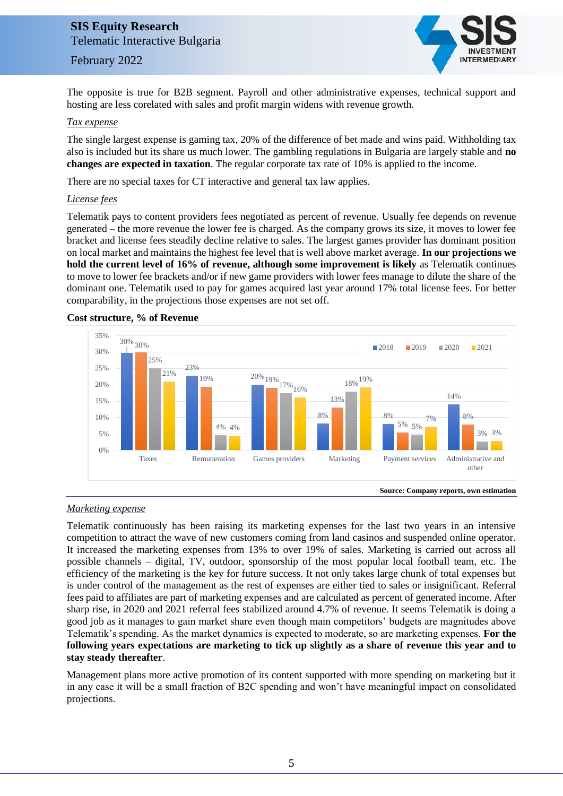### February 2022



The opposite is true for B2B segment. Payroll and other administrative expenses, technical support and hosting are less corelated with sales and profit margin widens with revenue growth.

#### *Tax expense*

The single largest expense is gaming tax, 20% of the difference of bet made and wins paid. Withholding tax also is included but its share us much lower. The gambling regulations in Bulgaria are largely stable and **no changes are expected in taxation**. The regular corporate tax rate of 10% is applied to the income.

There are no special taxes for CT interactive and general tax law applies.

#### *License fees*

Telematik pays to content providers fees negotiated as percent of revenue. Usually fee depends on revenue generated – the more revenue the lower fee is charged. As the company grows its size, it moves to lower fee bracket and license fees steadily decline relative to sales. The largest games provider has dominant position on local market and maintains the highest fee level that is well above market average. **In our projections we hold the current level of 16% of revenue, although some improvement is likely** as Telematik continues to move to lower fee brackets and/or if new game providers with lower fees manage to dilute the share of the dominant one. Telematik used to pay for games acquired last year around 17% total license fees. For better comparability, in the projections those expenses are not set off.



#### **Cost structure, % of Revenue**

#### *Marketing expense*

Telematik continuously has been raising its marketing expenses for the last two years in an intensive competition to attract the wave of new customers coming from land casinos and suspended online operator. It increased the marketing expenses from 13% to over 19% of sales. Marketing is carried out across all possible channels – digital, TV, outdoor, sponsorship of the most popular local football team, etc. The efficiency of the marketing is the key for future success. It not only takes large chunk of total expenses but is under control of the management as the rest of expenses are either tied to sales or insignificant. Referral fees paid to affiliates are part of marketing expenses and are calculated as percent of generated income. After sharp rise, in 2020 and 2021 referral fees stabilized around 4.7% of revenue. It seems Telematik is doing a good job as it manages to gain market share even though main competitors' budgets are magnitudes above Telematik's spending. As the market dynamics is expected to moderate, so are marketing expenses. **For the following years expectations are marketing to tick up slightly as a share of revenue this year and to stay steady thereafter**.

Management plans more active promotion of its content supported with more spending on marketing but it in any case it will be a small fraction of B2C spending and won't have meaningful impact on consolidated projections.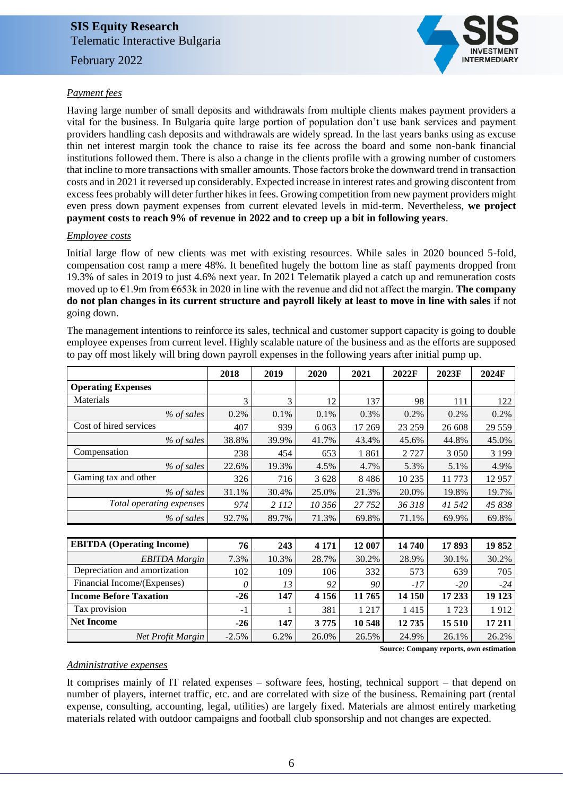February 2022



### *Payment fees*

Having large number of small deposits and withdrawals from multiple clients makes payment providers a vital for the business. In Bulgaria quite large portion of population don't use bank services and payment providers handling cash deposits and withdrawals are widely spread. In the last years banks using as excuse thin net interest margin took the chance to raise its fee across the board and some non-bank financial institutions followed them. There is also a change in the clients profile with a growing number of customers that incline to more transactions with smaller amounts. Those factors broke the downward trend in transaction costs and in 2021 it reversed up considerably. Expected increase in interest rates and growing discontent from excess fees probably will deter further hikes in fees. Growing competition from new payment providers might even press down payment expenses from current elevated levels in mid-term. Nevertheless, **we project payment costs to reach 9% of revenue in 2022 and to creep up a bit in following years**.

#### *Employee costs*

Initial large flow of new clients was met with existing resources. While sales in 2020 bounced 5-fold, compensation cost ramp a mere 48%. It benefited hugely the bottom line as staff payments dropped from 19.3% of sales in 2019 to just 4.6% next year. In 2021 Telematik played a catch up and remuneration costs moved up to €1.9m from €653k in 2020 in line with the revenue and did not affect the margin. **The company do not plan changes in its current structure and payroll likely at least to move in line with sales** if not going down.

The management intentions to reinforce its sales, technical and customer support capacity is going to double employee expenses from current level. Highly scalable nature of the business and as the efforts are supposed to pay off most likely will bring down payroll expenses in the following years after initial pump up.

|                                  | 2018    | 2019    | 2020    | 2021    | 2022F  | 2023F   | 2024F   |
|----------------------------------|---------|---------|---------|---------|--------|---------|---------|
| <b>Operating Expenses</b>        |         |         |         |         |        |         |         |
| Materials                        | 3       | 3       | 12      | 137     | 98     | 111     | 122     |
| % of sales                       | 0.2%    | 0.1%    | 0.1%    | 0.3%    | 0.2%   | 0.2%    | 0.2%    |
| Cost of hired services           | 407     | 939     | 6 0 63  | 17 269  | 23 259 | 26 608  | 29 559  |
| % of sales                       | 38.8%   | 39.9%   | 41.7%   | 43.4%   | 45.6%  | 44.8%   | 45.0%   |
| Compensation                     | 238     | 454     | 653     | 1861    | 2727   | 3 0 5 0 | 3 1 9 9 |
| % of sales                       | 22.6%   | 19.3%   | 4.5%    | 4.7%    | 5.3%   | 5.1%    | 4.9%    |
| Gaming tax and other             | 326     | 716     | 3628    | 8486    | 10 235 | 11 773  | 12957   |
| % of sales                       | 31.1%   | 30.4%   | 25.0%   | 21.3%   | 20.0%  | 19.8%   | 19.7%   |
| Total operating expenses         | 974     | 2 1 1 2 | 10 356  | 27 752  | 36 318 | 41 542  | 45 838  |
| % of sales                       | 92.7%   | 89.7%   | 71.3%   | 69.8%   | 71.1%  | 69.9%   | 69.8%   |
|                                  |         |         |         |         |        |         |         |
| <b>EBITDA</b> (Operating Income) | 76      | 243     | 4 1 7 1 | 12 007  | 14740  | 17893   | 19852   |
| <b>EBITDA</b> Margin             | 7.3%    | 10.3%   | 28.7%   | 30.2%   | 28.9%  | 30.1%   | 30.2%   |
| Depreciation and amortization    | 102     | 109     | 106     | 332     | 573    | 639     | 705     |
| Financial Income/(Expenses)      | 0       | 13      | 92      | 90      | -17    | $-20$   | $-24$   |
| <b>Income Before Taxation</b>    | $-26$   | 147     | 4 1 5 6 | 11765   | 14 150 | 17 233  | 19 123  |
| Tax provision                    | $-1$    |         | 381     | 1 2 1 7 | 1415   | 1723    | 1912    |
| <b>Net Income</b>                | $-26$   | 147     | 3775    | 10 548  | 12735  | 15 510  | 17 211  |
| Net Profit Margin                | $-2.5%$ | 6.2%    | 26.0%   | 26.5%   | 24.9%  | 26.1%   | 26.2%   |

 **Source: Company reports, own estimation**

#### *Administrative expenses*

It comprises mainly of IT related expenses – software fees, hosting, technical support – that depend on number of players, internet traffic, etc. and are correlated with size of the business. Remaining part (rental expense, consulting, accounting, legal, utilities) are largely fixed. Materials are almost entirely marketing materials related with outdoor campaigns and football club sponsorship and not changes are expected.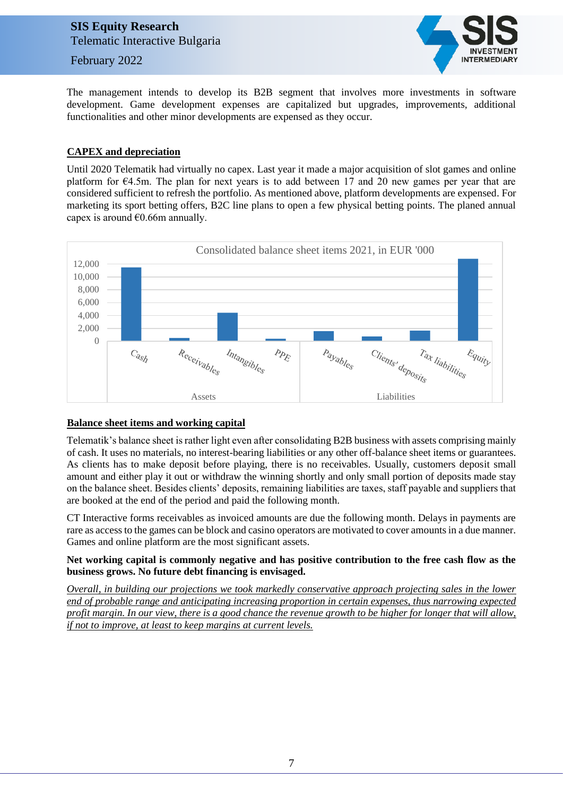February 2022



The management intends to develop its B2B segment that involves more investments in software development. Game development expenses are capitalized but upgrades, improvements, additional functionalities and other minor developments are expensed as they occur.

### **CAPEX and depreciation**

Until 2020 Telematik had virtually no capex. Last year it made a major acquisition of slot games and online platform for €4.5m. The plan for next years is to add between 17 and 20 new games per year that are considered sufficient to refresh the portfolio. As mentioned above, platform developments are expensed. For marketing its sport betting offers, B2C line plans to open a few physical betting points. The planed annual capex is around  $€0.66m$  annually.



### **Balance sheet items and working capital**

Telematik's balance sheet is rather light even after consolidating B2B business with assets comprising mainly of cash. It uses no materials, no interest-bearing liabilities or any other off-balance sheet items or guarantees. As clients has to make deposit before playing, there is no receivables. Usually, customers deposit small amount and either play it out or withdraw the winning shortly and only small portion of deposits made stay on the balance sheet. Besides clients' deposits, remaining liabilities are taxes, staff payable and suppliers that are booked at the end of the period and paid the following month.

CT Interactive forms receivables as invoiced amounts are due the following month. Delays in payments are rare as access to the games can be block and casino operators are motivated to cover amounts in a due manner. Games and online platform are the most significant assets.

### **Net working capital is commonly negative and has positive contribution to the free cash flow as the business grows. No future debt financing is envisaged.**

*Overall, in building our projections we took markedly conservative approach projecting sales in the lower end of probable range and anticipating increasing proportion in certain expenses, thus narrowing expected profit margin. In our view, there is a good chance the revenue growth to be higher for longer that will allow, if not to improve, at least to keep margins at current levels.*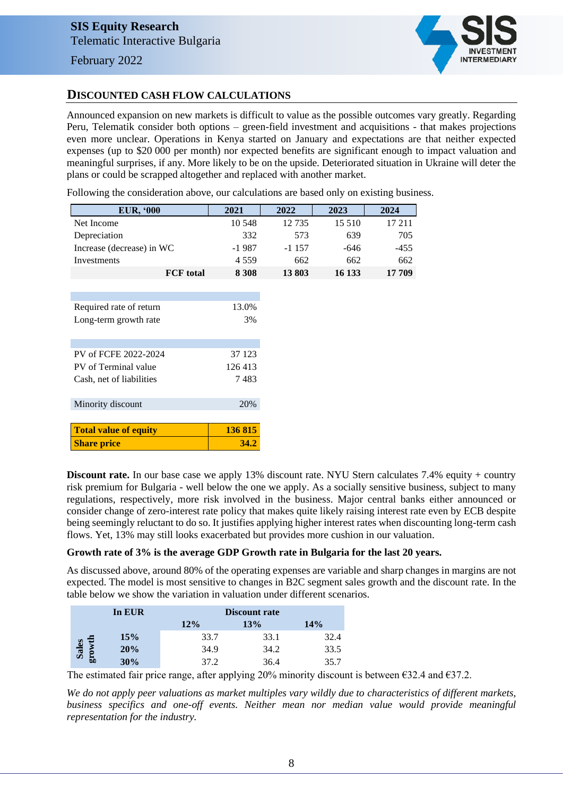

### **DISCOUNTED CASH FLOW CALCULATIONS**

Announced expansion on new markets is difficult to value as the possible outcomes vary greatly. Regarding Peru, Telematik consider both options – green-field investment and acquisitions - that makes projections even more unclear. Operations in Kenya started on January and expectations are that neither expected expenses (up to \$20 000 per month) nor expected benefits are significant enough to impact valuation and meaningful surprises, if any. More likely to be on the upside. Deteriorated situation in Ukraine will deter the plans or could be scrapped altogether and replaced with another market.

Following the consideration above, our calculations are based only on existing business.

| <b>EUR, '000</b>             | 2021    | 2022    | 2023   | 2024   |
|------------------------------|---------|---------|--------|--------|
| Net Income                   | 10 548  | 12 7 35 | 15 510 | 17 211 |
| Depreciation                 | 332     | 573     | 639    | 705    |
| Increase (decrease) in WC    | $-1987$ | $-1157$ | $-646$ | $-455$ |
| Investments                  | 4 5 5 9 | 662     | 662    | 662    |
| <b>FCF</b> total             | 8 3 0 8 | 13803   | 16 133 | 17 709 |
|                              |         |         |        |        |
|                              |         |         |        |        |
| Required rate of return      | 13.0%   |         |        |        |
| Long-term growth rate        | 3%      |         |        |        |
|                              |         |         |        |        |
|                              |         |         |        |        |
| PV of FCFE 2022-2024         | 37 123  |         |        |        |
| PV of Terminal value         | 126 413 |         |        |        |
| Cash, net of liabilities     | 7483    |         |        |        |
|                              |         |         |        |        |
| Minority discount            | 20%     |         |        |        |
|                              |         |         |        |        |
| <b>Total value of equity</b> | 136 815 |         |        |        |
| <b>Share price</b>           | 34.2    |         |        |        |

**Discount rate.** In our base case we apply 13% discount rate. NYU Stern calculates 7.4% equity + country risk premium for Bulgaria - well below the one we apply. As a socially sensitive business, subject to many regulations, respectively, more risk involved in the business. Major central banks either announced or consider change of zero-interest rate policy that makes quite likely raising interest rate even by ECB despite being seemingly reluctant to do so. It justifies applying higher interest rates when discounting long-term cash flows. Yet, 13% may still looks exacerbated but provides more cushion in our valuation.

### **Growth rate of 3% is the average GDP Growth rate in Bulgaria for the last 20 years.**

As discussed above, around 80% of the operating expenses are variable and sharp changes in margins are not expected. The model is most sensitive to changes in B2C segment sales growth and the discount rate. In the table below we show the variation in valuation under different scenarios.

|       | In EUR |      | Discount rate |      |  |  |  |
|-------|--------|------|---------------|------|--|--|--|
|       |        | 12%  | 13%           | 14%  |  |  |  |
|       | 15%    | 33.7 | 33.1          | 32.4 |  |  |  |
| Sales | 20%    | 34.9 | 34.2          | 33.5 |  |  |  |
| br    | 30%    | 37.2 | 36.4          | 35.7 |  |  |  |

The estimated fair price range, after applying 20% minority discount is between  $\epsilon$ 32.4 and  $\epsilon$ 37.2.

*We do not apply peer valuations as market multiples vary wildly due to characteristics of different markets, business specifics and one-off events. Neither mean nor median value would provide meaningful representation for the industry.*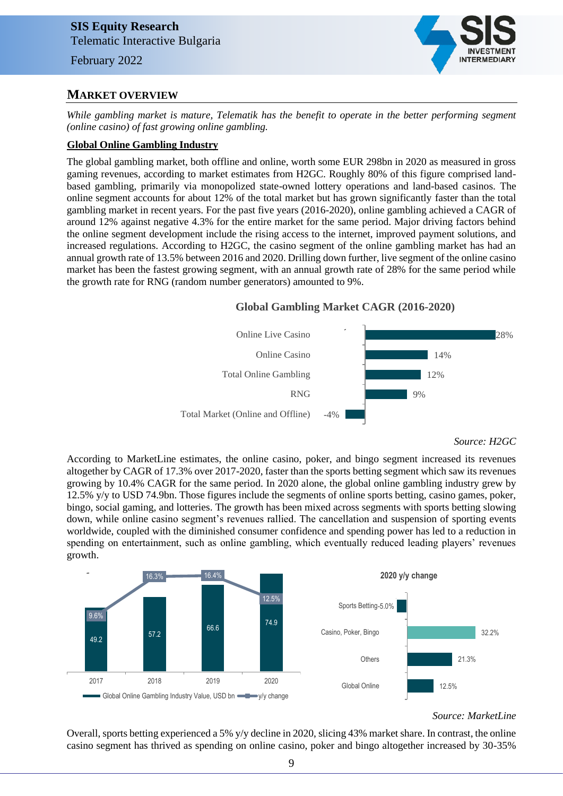### **MARKET OVERVIEW**

*While gambling market is mature, Telematik has the benefit to operate in the better performing segment (online casino) of fast growing online gambling.*

### **Global Online Gambling Industry**

The global gambling market, both offline and online, worth some EUR 298bn in 2020 as measured in gross gaming revenues, according to market estimates from H2GC. Roughly 80% of this figure comprised landbased gambling, primarily via monopolized state-owned lottery operations and land-based casinos. The online segment accounts for about 12% of the total market but has grown significantly faster than the total gambling market in recent years. For the past five years (2016-2020), online gambling achieved a CAGR of around 12% against negative 4.3% for the entire market for the same period. Major driving factors behind the online segment development include the rising access to the internet, improved payment solutions, and increased regulations. According to H2GC, the casino segment of the online gambling market has had an annual growth rate of 13.5% between 2016 and 2020. Drilling down further, live segment of the online casino market has been the fastest growing segment, with an annual growth rate of 28% for the same period while the growth rate for RNG (random number generators) amounted to 9%.

### **Global Gambling Market CAGR (2016-2020)**



*Source: H2GC*

According to MarketLine estimates, the online casino, poker, and bingo segment increased its revenues altogether by CAGR of 17.3% over 2017-2020, faster than the sports betting segment which saw its revenues growing by 10.4% CAGR for the same period. In 2020 alone, the global online gambling industry grew by 12.5% y/y to USD 74.9bn. Those figures include the segments of online sports betting, casino games, poker, bingo, social gaming, and lotteries. The growth has been mixed across segments with sports betting slowing down, while online casino segment's revenues rallied. The cancellation and suspension of sporting events worldwide, coupled with the diminished consumer confidence and spending power has led to a reduction in spending on entertainment, such as online gambling, which eventually reduced leading players' revenues growth.



#### *Source: MarketLine*

Overall, sports betting experienced a 5% y/y decline in 2020, slicing 43% market share. In contrast, the online casino segment has thrived as spending on online casino, poker and bingo altogether increased by 30-35%

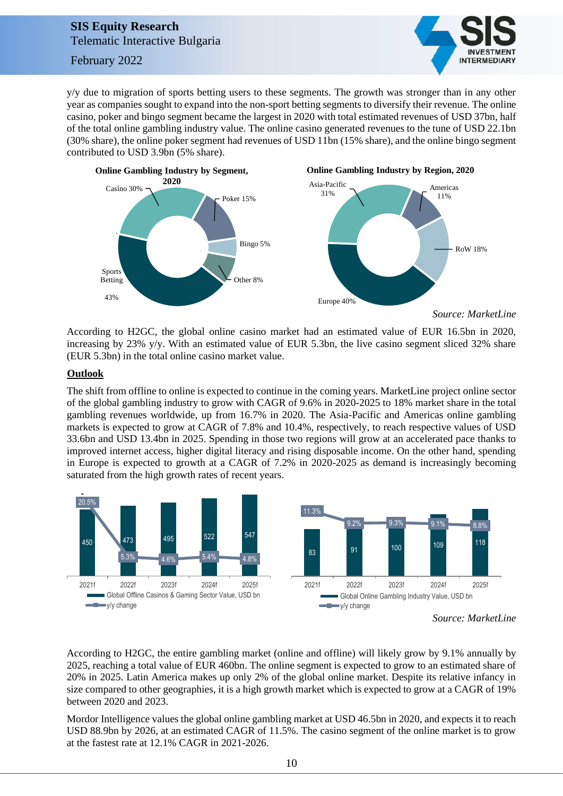February 2022



y/y due to migration of sports betting users to these segments. The growth was stronger than in any other year as companies sought to expand into the non-sport betting segments to diversify their revenue. The online casino, poker and bingo segment became the largest in 2020 with total estimated revenues of USD 37bn, half of the total online gambling industry value. The online casino generated revenues to the tune of USD 22.1bn (30% share), the online poker segment had revenues of USD 11bn (15% share), and the online bingo segment contributed to USD 3.9bn (5% share).



*Source: MarketLine*

According to H2GC, the global online casino market had an estimated value of EUR 16.5bn in 2020, increasing by 23% y/y. With an estimated value of EUR 5.3bn, the live casino segment sliced 32% share (EUR 5.3bn) in the total online casino market value.

### **Outlook**

The shift from offline to online is expected to continue in the coming years. MarketLine project online sector of the global gambling industry to grow with CAGR of 9.6% in 2020-2025 to 18% market share in the total gambling revenues worldwide, up from 16.7% in 2020. The Asia-Pacific and Americas online gambling markets is expected to grow at CAGR of 7.8% and 10.4%, respectively, to reach respective values of USD 33.6bn and USD 13.4bn in 2025. Spending in those two regions will grow at an accelerated pace thanks to improved internet access, higher digital literacy and rising disposable income. On the other hand, spending in Europe is expected to growth at a CAGR of 7.2% in 2020-2025 as demand is increasingly becoming saturated from the high growth rates of recent years.



*Source: MarketLine*

According to H2GC, the entire gambling market (online and offline) will likely grow by 9.1% annually by 2025, reaching a total value of EUR 460bn. The online segment is expected to grow to an estimated share of 20% in 2025. Latin America makes up only 2% of the global online market. Despite its relative infancy in size compared to other geographies, it is a high growth market which is expected to grow at a CAGR of 19% between 2020 and 2023.

Mordor Intelligence values the global online gambling market at USD 46.5bn in 2020, and expects it to reach USD 88.9bn by 2026, at an estimated CAGR of 11.5%. The casino segment of the online market is to grow at the fastest rate at 12.1% CAGR in 2021-2026.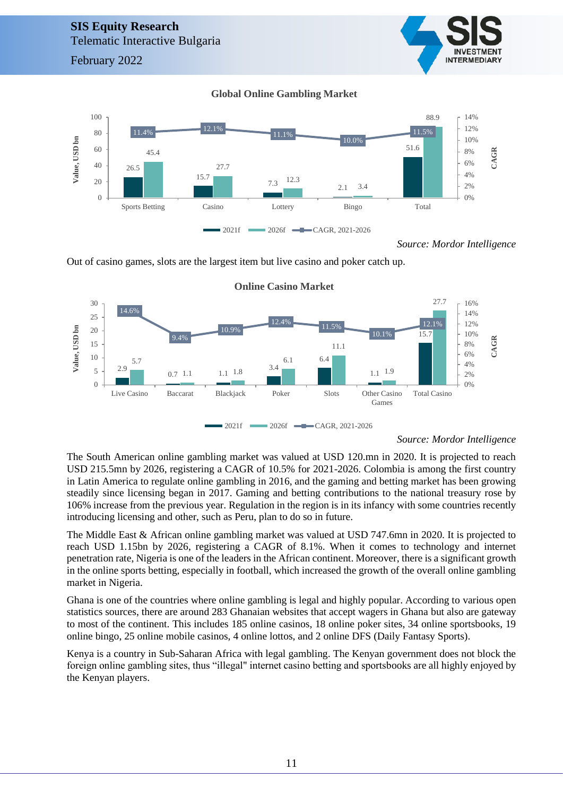February 2022



### **Global Online Gambling Market**



*Source: Mordor Intelligence*

Out of casino games, slots are the largest item but live casino and poker catch up.



#### **Online Casino Market**

#### *Source: Mordor Intelligence*

The South American online gambling market was valued at USD 120.mn in 2020. It is projected to reach USD 215.5mn by 2026, registering a CAGR of 10.5% for 2021-2026. Colombia is among the first country in Latin America to regulate online gambling in 2016, and the gaming and betting market has been growing steadily since licensing began in 2017. Gaming and betting contributions to the national treasury rose by 106% increase from the previous year. Regulation in the region is in its infancy with some countries recently introducing licensing and other, such as Peru, plan to do so in future.

The Middle East & African online gambling market was valued at USD 747.6mn in 2020. It is projected to reach USD 1.15bn by 2026, registering a CAGR of 8.1%. When it comes to technology and internet penetration rate, Nigeria is one of the leaders in the African continent. Moreover, there is a significant growth in the online sports betting, especially in football, which increased the growth of the overall online gambling market in Nigeria.

Ghana is one of the countries where online gambling is legal and highly popular. According to various open statistics sources, there are around 283 Ghanaian websites that accept wagers in Ghana but also are gateway to most of the continent. This includes 185 online casinos, 18 online poker sites, 34 online sportsbooks, 19 online bingo, 25 online mobile casinos, 4 online lottos, and 2 online DFS (Daily Fantasy Sports).

Kenya is a country in Sub-Saharan Africa with legal gambling. The Kenyan government does not block the foreign online gambling sites, thus "illegal" internet casino betting and sportsbooks are all highly enjoyed by the Kenyan players.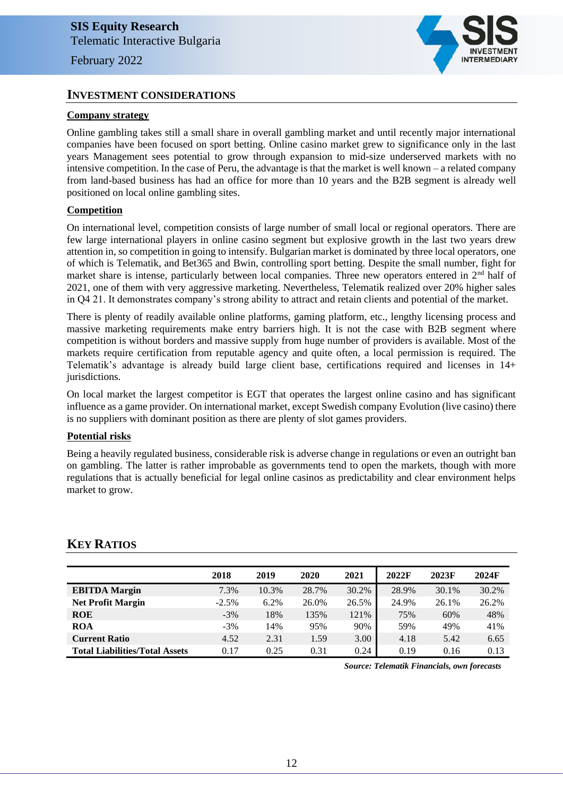### **INVESTMENT CONSIDERATIONS**

### **Company strategy**

Online gambling takes still a small share in overall gambling market and until recently major international companies have been focused on sport betting. Online casino market grew to significance only in the last years Management sees potential to grow through expansion to mid-size underserved markets with no intensive competition. In the case of Peru, the advantage is that the market is well known – a related company from land-based business has had an office for more than 10 years and the B2B segment is already well positioned on local online gambling sites.

### **Competition**

On international level, competition consists of large number of small local or regional operators. There are few large international players in online casino segment but explosive growth in the last two years drew attention in, so competition in going to intensify. Bulgarian market is dominated by three local operators, one of which is Telematik, and Bet365 and Bwin, controlling sport betting. Despite the small number, fight for market share is intense, particularly between local companies. Three new operators entered in 2<sup>nd</sup> half of 2021, one of them with very aggressive marketing. Nevertheless, Telematik realized over 20% higher sales in Q4 21. It demonstrates company's strong ability to attract and retain clients and potential of the market.

There is plenty of readily available online platforms, gaming platform, etc., lengthy licensing process and massive marketing requirements make entry barriers high. It is not the case with B2B segment where competition is without borders and massive supply from huge number of providers is available. Most of the markets require certification from reputable agency and quite often, a local permission is required. The Telematik's advantage is already build large client base, certifications required and licenses in 14+ jurisdictions.

On local market the largest competitor is EGT that operates the largest online casino and has significant influence as a game provider. On international market, except Swedish company Evolution (live casino) there is no suppliers with dominant position as there are plenty of slot games providers.

#### **Potential risks**

Being a heavily regulated business, considerable risk is adverse change in regulations or even an outright ban on gambling. The latter is rather improbable as governments tend to open the markets, though with more regulations that is actually beneficial for legal online casinos as predictability and clear environment helps market to grow.

|                                       | 2018    | 2019  | 2020  | 2021  | 2022F | 2023F | 2024F |
|---------------------------------------|---------|-------|-------|-------|-------|-------|-------|
| <b>EBITDA</b> Margin                  | 7.3%    | 10.3% | 28.7% | 30.2% | 28.9% | 30.1% | 30.2% |
| <b>Net Profit Margin</b>              | $-2.5%$ | 6.2%  | 26.0% | 26.5% | 24.9% | 26.1% | 26.2% |
| <b>ROE</b>                            | $-3%$   | 18%   | 135%  | 121%  | 75%   | 60%   | 48%   |
| <b>ROA</b>                            | $-3%$   | 14%   | 95%   | 90%   | 59%   | 49%   | 41%   |
| <b>Current Ratio</b>                  | 4.52    | 2.31  | 1.59  | 3.00  | 4.18  | 5.42  | 6.65  |
| <b>Total Liabilities/Total Assets</b> | 0.17    | 0.25  | 0.31  | 0.24  | 0.19  | 0.16  | 0.13  |

### **KEY RATIOS**

*Source: Telematik Financials, own forecasts*

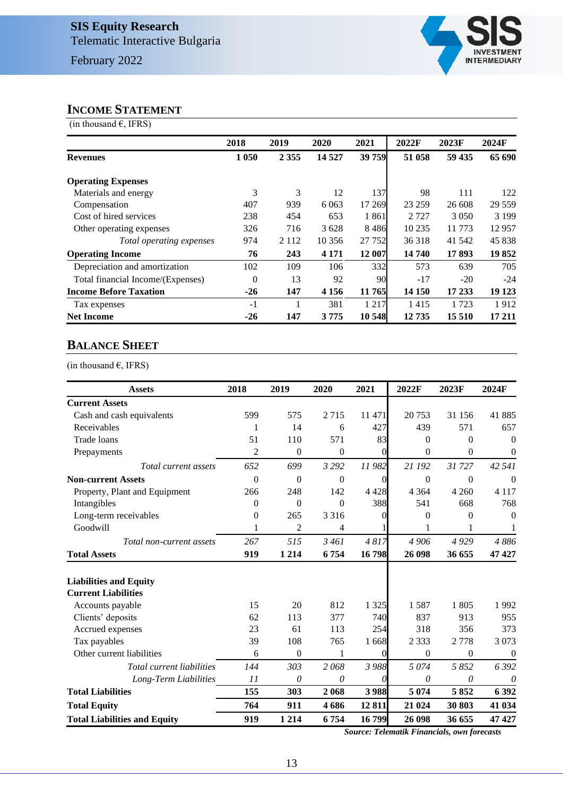

### **INCOME STATEMENT**

(in thousand  $\epsilon$ , IFRS)

|                                   | 2018     | 2019    | 2020    | 2021    | 2022F   | 2023F   | 2024F    |
|-----------------------------------|----------|---------|---------|---------|---------|---------|----------|
| <b>Revenues</b>                   | 1 0 5 0  | 2 3 5 5 | 14 5 27 | 39 759  | 51 058  | 59 435  | 65 690   |
| <b>Operating Expenses</b>         |          |         |         |         |         |         |          |
| Materials and energy              | 3        | 3       | 12      | 137     | 98      | 111     | 122      |
| Compensation                      | 407      | 939     | 6 0 6 3 | 17 269  | 23 259  | 26 608  | 29 5 5 9 |
| Cost of hired services            | 238      | 454     | 653     | 1861    | 2 7 2 7 | 3 0 5 0 | 3 1 9 9  |
| Other operating expenses          | 326      | 716     | 3628    | 8486    | 10 235  | 11 773  | 12957    |
| Total operating expenses          | 974      | 2 1 1 2 | 10 35 6 | 27 752  | 36 318  | 41 542  | 45 838   |
| <b>Operating Income</b>           | 76       | 243     | 4 1 7 1 | 12 007  | 14 740  | 17893   | 19852    |
| Depreciation and amortization     | 102      | 109     | 106     | 332     | 573     | 639     | 705      |
| Total financial Income/(Expenses) | $\Omega$ | 13      | 92      | 90      | $-17$   | $-20$   | $-24$    |
| <b>Income Before Taxation</b>     | $-26$    | 147     | 4 1 5 6 | 11 765  | 14 150  | 17 233  | 19 1 23  |
| Tax expenses                      | $-1$     |         | 381     | 1 2 1 7 | 1415    | 1 723   | 1912     |
| <b>Net Income</b>                 | $-26$    | 147     | 3 7 7 5 | 10 548  | 12735   | 15 5 10 | 17 211   |

### **BALANCE SHEET**

(in thousand  $\epsilon$ , IFRS)

| <b>Assets</b>                       | 2018           | 2019             | 2020         | 2021     | 2022F        | 2023F        | 2024F            |
|-------------------------------------|----------------|------------------|--------------|----------|--------------|--------------|------------------|
| <b>Current Assets</b>               |                |                  |              |          |              |              |                  |
| Cash and cash equivalents           | 599            | 575              | 2715         | 11 471   | 20753        | 31 156       | 41885            |
| Receivables                         | 1              | 14               | 6            | 427      | 439          | 571          | 657              |
| Trade loans                         | 51             | 110              | 571          | 83       | $\theta$     | $\Omega$     | $\theta$         |
| Prepayments                         | $\overline{2}$ | $\mathbf{0}$     | $\theta$     | 0        | $\theta$     | $\mathbf{0}$ | $\boldsymbol{0}$ |
| Total current assets                | 652            | 699              | 3 2 9 2      | 11982    | 21 192       | 31727        | 42 541           |
| <b>Non-current Assets</b>           | $\overline{0}$ | $\mathbf{0}$     | $\mathbf{0}$ | $\theta$ | $\mathbf{0}$ | $\theta$     | $\theta$         |
| Property, Plant and Equipment       | 266            | 248              | 142          | 4 4 2 8  | 4 3 6 4      | 4 2 6 0      | 4 1 1 7          |
| Intangibles                         | $\Omega$       | $\Omega$         | $\Omega$     | 388      | 541          | 668          | 768              |
| Long-term receivables               | $\theta$       | 265              | 3 3 1 6      | 0        | $\Omega$     | $\theta$     | $\overline{0}$   |
| Goodwill                            | 1              | 2                | 4            |          | 1            | 1            | 1                |
| Total non-current assets            | 267            | 515              | 3461         | 4817     | 4 9 0 6      | 4929         | 4886             |
| <b>Total Assets</b>                 | 919            | 1 2 1 4          | 6754         | 16798    | 26 098       | 36 655       | 47 427           |
| <b>Liabilities and Equity</b>       |                |                  |              |          |              |              |                  |
| <b>Current Liabilities</b>          |                |                  |              |          |              |              |                  |
| Accounts payable                    | 15             | 20               | 812          | 1 3 2 5  | 1587         | 1805         | 1992             |
| Clients' deposits                   | 62             | 113              | 377          | 740      | 837          | 913          | 955              |
| Accrued expenses                    | 23             | 61               | 113          | 254      | 318          | 356          | 373              |
| Tax payables                        | 39             | 108              | 765          | 1668     | 2 3 3 3      | 2778         | 3 0 7 3          |
| Other current liabilities           | 6              | $\boldsymbol{0}$ | 1            | $\Omega$ | $\Omega$     | $\Omega$     | $\overline{0}$   |
| Total current liabilities           | 144            | 303              | 2068         | 3 988    | 5074         | 5 8 5 2      | 6 3 9 2          |
| Long-Term Liabilities               | 11             | 0                | 0            | 0        | 0            | 0            | 0                |
| <b>Total Liabilities</b>            | 155            | 303              | 2068         | 3988     | 5 0 7 4      | 5852         | 6 3 9 2          |
| <b>Total Equity</b>                 | 764            | 911              | 4686         | 12811    | 21 024       | 30 803       | 41 034           |
| <b>Total Liabilities and Equity</b> | 919            | 1 2 1 4          | 6754         | 16799    | 26 098       | 36 655       | 47427            |

*Source: Telematik Financials, own forecasts*